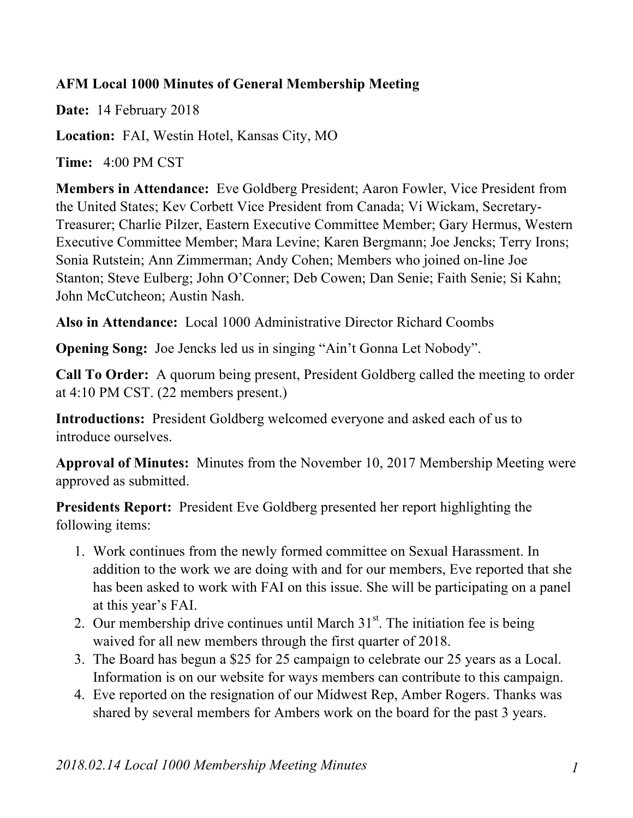## **AFM Local 1000 Minutes of General Membership Meeting**

**Date:** 14 February 2018

**Location:** FAI, Westin Hotel, Kansas City, MO

**Time:** 4:00 PM CST

**Members in Attendance:** Eve Goldberg President; Aaron Fowler, Vice President from the United States; Kev Corbett Vice President from Canada; Vi Wickam, Secretary-Treasurer; Charlie Pilzer, Eastern Executive Committee Member; Gary Hermus, Western Executive Committee Member; Mara Levine; Karen Bergmann; Joe Jencks; Terry Irons; Sonia Rutstein; Ann Zimmerman; Andy Cohen; Members who joined on-line Joe Stanton; Steve Eulberg; John O'Conner; Deb Cowen; Dan Senie; Faith Senie; Si Kahn; John McCutcheon; Austin Nash.

**Also in Attendance:** Local 1000 Administrative Director Richard Coombs

**Opening Song:** Joe Jencks led us in singing "Ain't Gonna Let Nobody".

**Call To Order:** A quorum being present, President Goldberg called the meeting to order at 4:10 PM CST. (22 members present.)

**Introductions:** President Goldberg welcomed everyone and asked each of us to introduce ourselves.

**Approval of Minutes:** Minutes from the November 10, 2017 Membership Meeting were approved as submitted.

**Presidents Report:** President Eve Goldberg presented her report highlighting the following items:

- 1. Work continues from the newly formed committee on Sexual Harassment. In addition to the work we are doing with and for our members, Eve reported that she has been asked to work with FAI on this issue. She will be participating on a panel at this year's FAI.
- 2. Our membership drive continues until March  $31<sup>st</sup>$ . The initiation fee is being waived for all new members through the first quarter of 2018.
- 3. The Board has begun a \$25 for 25 campaign to celebrate our 25 years as a Local. Information is on our website for ways members can contribute to this campaign.
- 4. Eve reported on the resignation of our Midwest Rep, Amber Rogers. Thanks was shared by several members for Ambers work on the board for the past 3 years.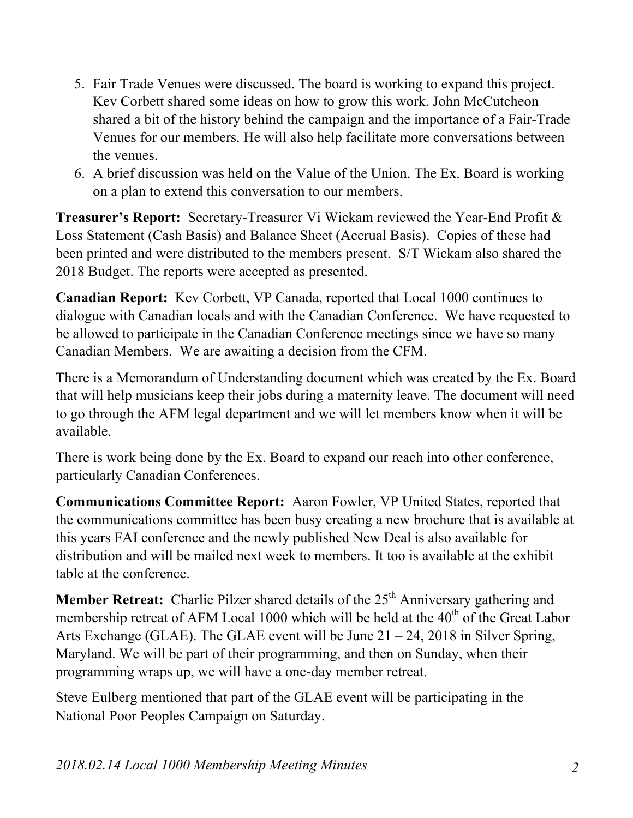- 5. Fair Trade Venues were discussed. The board is working to expand this project. Kev Corbett shared some ideas on how to grow this work. John McCutcheon shared a bit of the history behind the campaign and the importance of a Fair-Trade Venues for our members. He will also help facilitate more conversations between the venues.
- 6. A brief discussion was held on the Value of the Union. The Ex. Board is working on a plan to extend this conversation to our members.

**Treasurer's Report:** Secretary-Treasurer Vi Wickam reviewed the Year-End Profit & Loss Statement (Cash Basis) and Balance Sheet (Accrual Basis). Copies of these had been printed and were distributed to the members present. S/T Wickam also shared the 2018 Budget. The reports were accepted as presented.

**Canadian Report:** Kev Corbett, VP Canada, reported that Local 1000 continues to dialogue with Canadian locals and with the Canadian Conference. We have requested to be allowed to participate in the Canadian Conference meetings since we have so many Canadian Members. We are awaiting a decision from the CFM.

There is a Memorandum of Understanding document which was created by the Ex. Board that will help musicians keep their jobs during a maternity leave. The document will need to go through the AFM legal department and we will let members know when it will be available.

There is work being done by the Ex. Board to expand our reach into other conference, particularly Canadian Conferences.

**Communications Committee Report:** Aaron Fowler, VP United States, reported that the communications committee has been busy creating a new brochure that is available at this years FAI conference and the newly published New Deal is also available for distribution and will be mailed next week to members. It too is available at the exhibit table at the conference.

**Member Retreat:** Charlie Pilzer shared details of the 25<sup>th</sup> Anniversary gathering and membership retreat of AFM Local 1000 which will be held at the 40<sup>th</sup> of the Great Labor Arts Exchange (GLAE). The GLAE event will be June 21 – 24, 2018 in Silver Spring, Maryland. We will be part of their programming, and then on Sunday, when their programming wraps up, we will have a one-day member retreat.

Steve Eulberg mentioned that part of the GLAE event will be participating in the National Poor Peoples Campaign on Saturday.